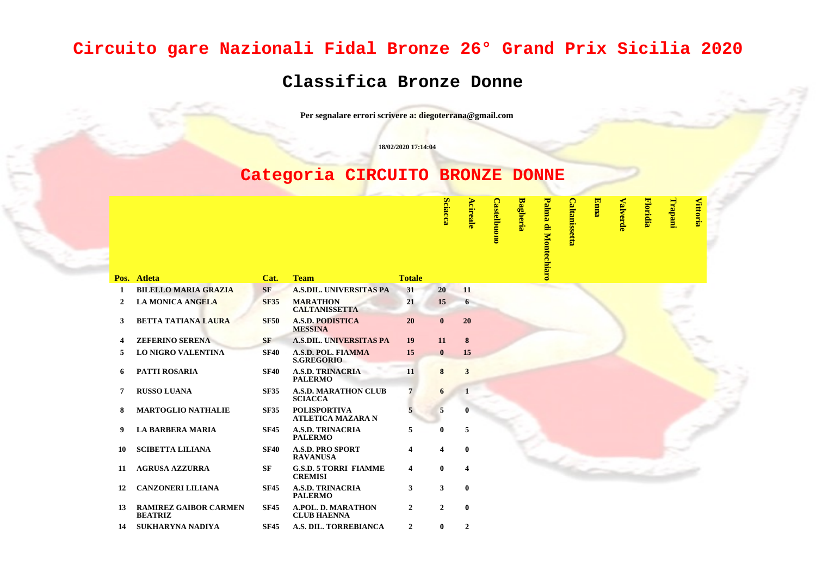## **Circuito gare Nazionali Fidal Bronze 26° Grand Prix Sicilia 2020**

## **Classifica Bronze Donne**

**Per segnalare errori scrivere a: diegoterrana@gmail.com**

**18/02/2020 17:14:04**

## **Categoria CIRCUITO BRONZE DONNE**

|                |                                                |             |                                                 |                         | <b>Sciacca</b> | Acireale       | <b>Castelbuono</b> | <b>Bagheria</b> | Palma<br>di Montec | <b>Caltanissetta</b> | <b>Enna</b> | <b>Valverde</b> | <b>Floridia</b> | Trapani | Vittoria |  |
|----------------|------------------------------------------------|-------------|-------------------------------------------------|-------------------------|----------------|----------------|--------------------|-----------------|--------------------|----------------------|-------------|-----------------|-----------------|---------|----------|--|
|                | Pos. Atleta                                    | Cat.        | <b>Team</b>                                     | <b>Totale</b>           |                |                |                    |                 |                    |                      |             |                 |                 |         |          |  |
| 1              | <b>BILELLO MARIA GRAZIA</b>                    | <b>SF</b>   | <b>A.S.DIL. UNIVERSITAS PA</b>                  | 31                      | 20             | 11             |                    |                 |                    |                      |             |                 |                 |         |          |  |
| $\overline{2}$ | <b>LA MONICA ANGELA</b>                        | <b>SF35</b> | <b>MARATHON</b><br><b>CALTANISSETTA</b>         | 21                      | 15             | 6              |                    |                 |                    |                      |             |                 |                 |         |          |  |
| 3              | <b>BETTA TATIANA LAURA</b>                     | <b>SF50</b> | <b>A.S.D. PODISTICA</b><br><b>MESSINA</b>       | 20                      | $\mathbf{0}$   | 20             |                    |                 |                    |                      |             |                 |                 |         |          |  |
| 4              | <b>ZEFERINO SERENA</b>                         | <b>SF</b>   | <b>A.S.DIL. UNIVERSITAS PA</b>                  | 19                      | 11             | 8              |                    |                 |                    |                      |             |                 |                 |         |          |  |
| 5              | <b>LO NIGRO VALENTINA</b>                      | <b>SF40</b> | <b>A.S.D. POL. FIAMMA</b><br><b>S.GREGORIO</b>  | 15                      | $\mathbf{0}$   | 15             |                    |                 |                    |                      |             |                 |                 |         |          |  |
| 6              | PATTI ROSARIA                                  | <b>SF40</b> | <b>A.S.D. TRINACRIA</b><br><b>PALERMO</b>       | 11                      | 8              | $\mathbf{3}$   |                    |                 |                    |                      |             |                 |                 |         |          |  |
| 7              | <b>RUSSO LUANA</b>                             | <b>SF35</b> | <b>A.S.D. MARATHON CLUB</b><br><b>SCIACCA</b>   | 7                       | 6              | $\mathbf{1}$   |                    |                 |                    |                      |             |                 |                 |         |          |  |
| 8              | <b>MARTOGLIO NATHALIE</b>                      | <b>SF35</b> | <b>POLISPORTIVA</b><br><b>ATLETICA MAZARA N</b> |                         | 5              |                |                    |                 |                    |                      |             |                 |                 |         |          |  |
| 9              | <b>LA BARBERA MARIA</b>                        | <b>SF45</b> | <b>A.S.D. TRINACRIA</b><br><b>PALERMO</b>       | 5                       | 0              | 5              |                    |                 |                    |                      |             |                 |                 |         |          |  |
| 10             | <b>SCIBETTA LILIANA</b>                        | <b>SF40</b> | <b>A.S.D. PRO SPORT</b><br><b>RAVANUSA</b>      | $\overline{\mathbf{4}}$ | 4              | $\bf{0}$       |                    |                 |                    |                      |             |                 |                 |         |          |  |
| 11             | <b>AGRUSA AZZURRA</b>                          | <b>SF</b>   | <b>G.S.D. 5 TORRI FIAMME</b><br><b>CREMISI</b>  | $\overline{\mathbf{4}}$ | $\mathbf{0}$   | 4              |                    |                 |                    |                      |             |                 |                 |         |          |  |
| 12             | <b>CANZONERI LILIANA</b>                       | <b>SF45</b> | <b>A.S.D. TRINACRIA</b><br><b>PALERMO</b>       | 3                       | $\mathbf{3}$   | $\bf{0}$       |                    |                 |                    |                      |             |                 |                 |         |          |  |
| 13             | <b>RAMIREZ GAIBOR CARMEN</b><br><b>BEATRIZ</b> | <b>SF45</b> | A.POL. D. MARATHON<br><b>CLUB HAENNA</b>        | $\mathbf{2}$            | $\mathbf{2}$   | $\bf{0}$       |                    |                 |                    |                      |             |                 |                 |         |          |  |
| 14             | <b>SUKHARYNA NADIYA</b>                        | <b>SF45</b> | A.S. DIL. TORREBIANCA                           | $\overline{2}$          | $\mathbf{0}$   | $\overline{2}$ |                    |                 |                    |                      |             |                 |                 |         |          |  |